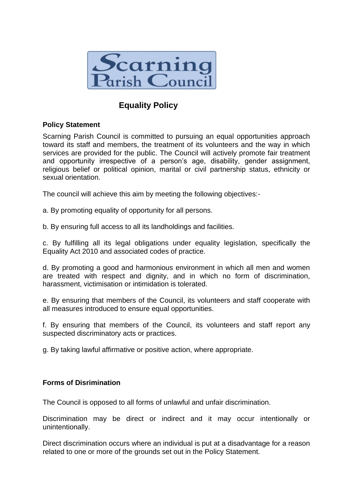

# **Equality Policy**

#### **Policy Statement**

Scarning Parish Council is committed to pursuing an equal opportunities approach toward its staff and members, the treatment of its volunteers and the way in which services are provided for the public. The Council will actively promote fair treatment and opportunity irrespective of a person's age, disability, gender assignment, religious belief or political opinion, marital or civil partnership status, ethnicity or sexual orientation.

The council will achieve this aim by meeting the following objectives:-

a. By promoting equality of opportunity for all persons.

b. By ensuring full access to all its landholdings and facilities.

c. By fulfilling all its legal obligations under equality legislation, specifically the Equality Act 2010 and associated codes of practice.

d. By promoting a good and harmonious environment in which all men and women are treated with respect and dignity, and in which no form of discrimination, harassment, victimisation or intimidation is tolerated.

e. By ensuring that members of the Council, its volunteers and staff cooperate with all measures introduced to ensure equal opportunities.

f. By ensuring that members of the Council, its volunteers and staff report any suspected discriminatory acts or practices.

g. By taking lawful affirmative or positive action, where appropriate.

## **Forms of Disrimination**

The Council is opposed to all forms of unlawful and unfair discrimination.

Discrimination may be direct or indirect and it may occur intentionally or unintentionally.

Direct discrimination occurs where an individual is put at a disadvantage for a reason related to one or more of the grounds set out in the Policy Statement.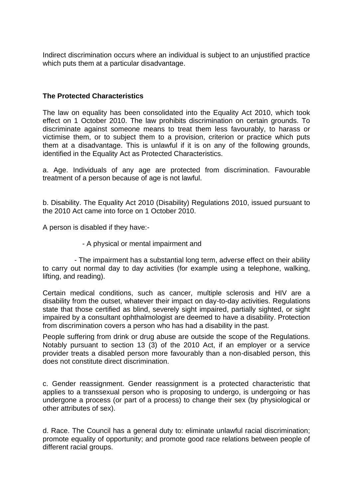Indirect discrimination occurs where an individual is subject to an unjustified practice which puts them at a particular disadvantage.

### **The Protected Characteristics**

The law on equality has been consolidated into the Equality Act 2010, which took effect on 1 October 2010. The law prohibits discrimination on certain grounds. To discriminate against someone means to treat them less favourably, to harass or victimise them, or to subject them to a provision, criterion or practice which puts them at a disadvantage. This is unlawful if it is on any of the following grounds, identified in the Equality Act as Protected Characteristics.

a. Age. Individuals of any age are protected from discrimination. Favourable treatment of a person because of age is not lawful.

b. Disability. The Equality Act 2010 (Disability) Regulations 2010, issued pursuant to the 2010 Act came into force on 1 October 2010.

A person is disabled if they have:-

- A physical or mental impairment and

 - The impairment has a substantial long term, adverse effect on their ability to carry out normal day to day activities (for example using a telephone, walking, lifting, and reading).

Certain medical conditions, such as cancer, multiple sclerosis and HIV are a disability from the outset, whatever their impact on day-to-day activities. Regulations state that those certified as blind, severely sight impaired, partially sighted, or sight impaired by a consultant ophthalmologist are deemed to have a disability. Protection from discrimination covers a person who has had a disability in the past.

People suffering from drink or drug abuse are outside the scope of the Regulations. Notably pursuant to section 13 (3) of the 2010 Act, if an employer or a service provider treats a disabled person more favourably than a non-disabled person, this does not constitute direct discrimination.

c. Gender reassignment. Gender reassignment is a protected characteristic that applies to a transsexual person who is proposing to undergo, is undergoing or has undergone a process (or part of a process) to change their sex (by physiological or other attributes of sex).

d. Race. The Council has a general duty to: eliminate unlawful racial discrimination; promote equality of opportunity; and promote good race relations between people of different racial groups.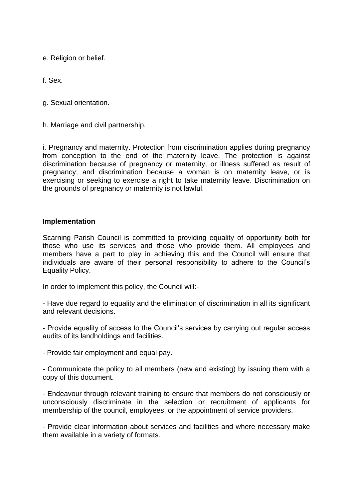e. Religion or belief.

f. Sex.

g. Sexual orientation.

h. Marriage and civil partnership.

i. Pregnancy and maternity. Protection from discrimination applies during pregnancy from conception to the end of the maternity leave. The protection is against discrimination because of pregnancy or maternity, or illness suffered as result of pregnancy; and discrimination because a woman is on maternity leave, or is exercising or seeking to exercise a right to take maternity leave. Discrimination on the grounds of pregnancy or maternity is not lawful.

#### **Implementation**

Scarning Parish Council is committed to providing equality of opportunity both for those who use its services and those who provide them. All employees and members have a part to play in achieving this and the Council will ensure that individuals are aware of their personal responsibility to adhere to the Council's Equality Policy.

In order to implement this policy, the Council will:-

- Have due regard to equality and the elimination of discrimination in all its significant and relevant decisions.

- Provide equality of access to the Council's services by carrying out regular access audits of its landholdings and facilities.

- Provide fair employment and equal pay.

- Communicate the policy to all members (new and existing) by issuing them with a copy of this document.

- Endeavour through relevant training to ensure that members do not consciously or unconsciously discriminate in the selection or recruitment of applicants for membership of the council, employees, or the appointment of service providers.

- Provide clear information about services and facilities and where necessary make them available in a variety of formats.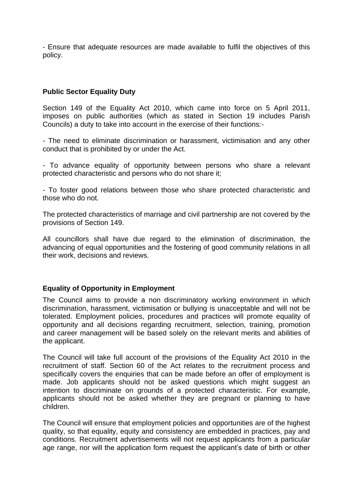- Ensure that adequate resources are made available to fulfil the objectives of this policy.

#### **Public Sector Equality Duty**

Section 149 of the Equality Act 2010, which came into force on 5 April 2011, imposes on public authorities (which as stated in Section 19 includes Parish Councils) a duty to take into account in the exercise of their functions:-

- The need to eliminate discrimination or harassment, victimisation and any other conduct that is prohibited by or under the Act.

- To advance equality of opportunity between persons who share a relevant protected characteristic and persons who do not share it;

- To foster good relations between those who share protected characteristic and those who do not.

The protected characteristics of marriage and civil partnership are not covered by the provisions of Section 149.

All councillors shall have due regard to the elimination of discrimination, the advancing of equal opportunities and the fostering of good community relations in all their work, decisions and reviews.

#### **Equality of Opportunity in Employment**

The Council aims to provide a non discriminatory working environment in which discrimination, harassment, victimisation or bullying is unacceptable and will not be tolerated. Employment policies, procedures and practices will promote equality of opportunity and all decisions regarding recruitment, selection, training, promotion and career management will be based solely on the relevant merits and abilities of the applicant.

The Council will take full account of the provisions of the Equality Act 2010 in the recruitment of staff. Section 60 of the Act relates to the recruitment process and specifically covers the enquiries that can be made before an offer of employment is made. Job applicants should not be asked questions which might suggest an intention to discriminate on grounds of a protected characteristic. For example, applicants should not be asked whether they are pregnant or planning to have children.

The Council will ensure that employment policies and opportunities are of the highest quality, so that equality, equity and consistency are embedded in practices, pay and conditions. Recruitment advertisements will not request applicants from a particular age range, nor will the application form request the applicant's date of birth or other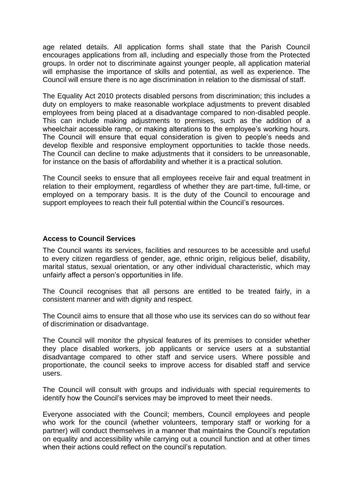age related details. All application forms shall state that the Parish Council encourages applications from all, including and especially those from the Protected groups. In order not to discriminate against younger people, all application material will emphasise the importance of skills and potential, as well as experience. The Council will ensure there is no age discrimination in relation to the dismissal of staff.

The Equality Act 2010 protects disabled persons from discrimination; this includes a duty on employers to make reasonable workplace adjustments to prevent disabled employees from being placed at a disadvantage compared to non-disabled people. This can include making adjustments to premises, such as the addition of a wheelchair accessible ramp, or making alterations to the employee's working hours. The Council will ensure that equal consideration is given to people's needs and develop flexible and responsive employment opportunities to tackle those needs. The Council can decline to make adjustments that it considers to be unreasonable, for instance on the basis of affordability and whether it is a practical solution.

The Council seeks to ensure that all employees receive fair and equal treatment in relation to their employment, regardless of whether they are part-time, full-time, or employed on a temporary basis. It is the duty of the Council to encourage and support employees to reach their full potential within the Council's resources.

#### **Access to Council Services**

The Council wants its services, facilities and resources to be accessible and useful to every citizen regardless of gender, age, ethnic origin, religious belief, disability, marital status, sexual orientation, or any other individual characteristic, which may unfairly affect a person's opportunities in life.

The Council recognises that all persons are entitled to be treated fairly, in a consistent manner and with dignity and respect.

The Council aims to ensure that all those who use its services can do so without fear of discrimination or disadvantage.

The Council will monitor the physical features of its premises to consider whether they place disabled workers, job applicants or service users at a substantial disadvantage compared to other staff and service users. Where possible and proportionate, the council seeks to improve access for disabled staff and service users.

The Council will consult with groups and individuals with special requirements to identify how the Council's services may be improved to meet their needs.

Everyone associated with the Council; members, Council employees and people who work for the council (whether volunteers, temporary staff or working for a partner) will conduct themselves in a manner that maintains the Council's reputation on equality and accessibility while carrying out a council function and at other times when their actions could reflect on the council's reputation.